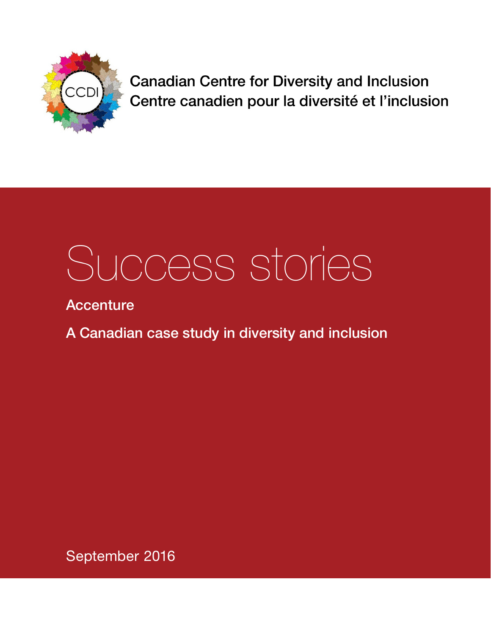

**Canadian Centre for Diversity and Inclusion** Centre canadien pour la diversité et l'inclusion

# Success stories

**Accenture** 

A Canadian case study in diversity and inclusion

September 2016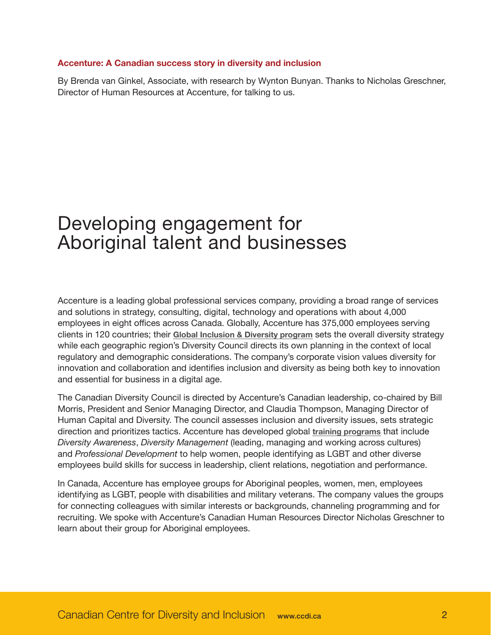#### **Accenture: A Canadian success story in diversity and inclusion**

By Brenda van Ginkel, Associate, with research by Wynton Bunyan. Thanks to Nicholas Greschner, Director of Human Resources at Accenture, for talking to us.

# Developing engagement for Aboriginal talent and businesses

Accenture is a leading global professional services company, providing a broad range of services and solutions in strategy, consulting, digital, technology and operations with about 4,000 employees in eight offices across Canada. Globally, Accenture has 375,000 employees serving clients in 120 countries; their **[Global Inclusion & Diversity program](https://www.accenture.com/us-en/company-diversity)** sets the overall diversity strategy while each geographic region's Diversity Council directs its own planning in the context of local regulatory and demographic considerations. The company's corporate vision values diversity for innovation and collaboration and identifies inclusion and diversity as being both key to innovation and essential for business in a digital age.

The Canadian Diversity Council is directed by Accenture's Canadian leadership, co-chaired by Bill Morris, President and Senior Managing Director, and Claudia Thompson, Managing Director of Human Capital and Diversity. The council assesses inclusion and diversity issues, sets strategic direction and prioritizes tactics. Accenture has developed global **[training programs](https://www.accenture.com/us-en/company-diversity)** that include *Diversity Awareness*, *Diversity Management* (leading, managing and working across cultures) and *Professional Development* to help women, people identifying as LGBT and other diverse employees build skills for success in leadership, client relations, negotiation and performance.

In Canada, Accenture has employee groups for Aboriginal peoples, women, men, employees identifying as LGBT, people with disabilities and military veterans. The company values the groups for connecting colleagues with similar interests or backgrounds, channeling programming and for recruiting. We spoke with Accenture's Canadian Human Resources Director Nicholas Greschner to learn about their group for Aboriginal employees.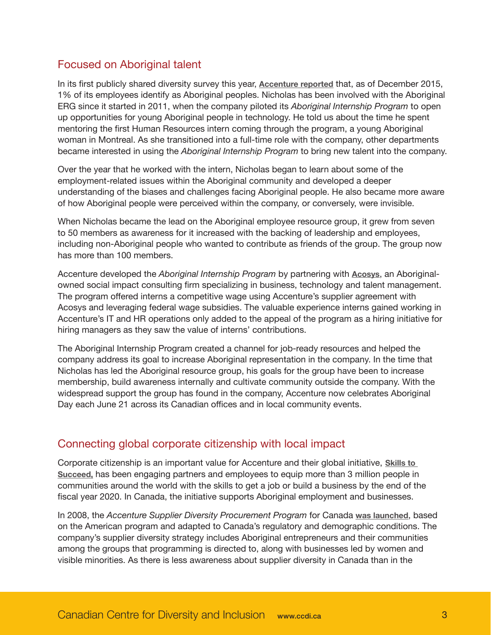# Focused on Aboriginal talent

In its first publicly shared diversity survey this year, **[Accenture reported](https://www.accenture.com/ca-en/company-diversity-inclusion-workforce-data)** that, as of December 2015, 1% of its employees identify as Aboriginal peoples. Nicholas has been involved with the Aboriginal ERG since it started in 2011, when the company piloted its *Aboriginal Internship Program* to open up opportunities for young Aboriginal people in technology. He told us about the time he spent mentoring the first Human Resources intern coming through the program, a young Aboriginal woman in Montreal. As she transitioned into a full-time role with the company, other departments became interested in using the *Aboriginal Internship Program* to bring new talent into the company.

Over the year that he worked with the intern, Nicholas began to learn about some of the employment-related issues within the Aboriginal community and developed a deeper understanding of the biases and challenges facing Aboriginal people. He also became more aware of how Aboriginal people were perceived within the company, or conversely, were invisible.

When Nicholas became the lead on the Aboriginal employee resource group, it grew from seven to 50 members as awareness for it increased with the backing of leadership and employees, including non-Aboriginal people who wanted to contribute as friends of the group. The group now has more than 100 members.

Accenture developed the *Aboriginal Internship Program* by partnering with **[Acosys](http://www.acosysconsulting.com/)**, an Aboriginalowned social impact consulting firm specializing in business, technology and talent management. The program offered interns a competitive wage using Accenture's supplier agreement with Acosys and leveraging federal wage subsidies. The valuable experience interns gained working in Accenture's IT and HR operations only added to the appeal of the program as a hiring initiative for hiring managers as they saw the value of interns' contributions.

The Aboriginal Internship Program created a channel for job-ready resources and helped the company address its goal to increase Aboriginal representation in the company. In the time that Nicholas has led the Aboriginal resource group, his goals for the group have been to increase membership, build awareness internally and cultivate community outside the company. With the widespread support the group has found in the company, Accenture now celebrates Aboriginal Day each June 21 across its Canadian offices and in local community events.

### Connecting global corporate citizenship with local impact

Corporate citizenship is an important value for Accenture and their global initiative, **[Skills to](https://www.accenture.com/us-en/company-skills-succeed)  [Succeed](https://www.accenture.com/us-en/company-skills-succeed),** has been engaging partners and employees to equip more than 3 million people in communities around the world with the skills to get a job or build a business by the end of the fiscal year 2020. In Canada, the initiative supports Aboriginal employment and businesses.

In 2008, the *Accenture Supplier Diversity Procurement Program* for Canada **[was launched](http://www.diversitycan.com/tops.aspx?id=Accenture-A-Canadian-Diversity-Program-Leader-312)**, based on the American program and adapted to Canada's regulatory and demographic conditions. The company's supplier diversity strategy includes Aboriginal entrepreneurs and their communities among the groups that programming is directed to, along with businesses led by women and visible minorities. As there is less awareness about supplier diversity in Canada than in the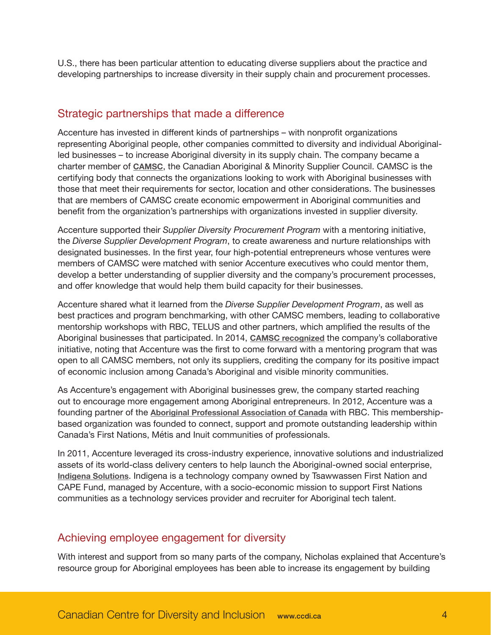U.S., there has been particular attention to educating diverse suppliers about the practice and developing partnerships to increase diversity in their supply chain and procurement processes.

## Strategic partnerships that made a difference

Accenture has invested in different kinds of partnerships – with nonprofit organizations representing Aboriginal people, other companies committed to diversity and individual Aboriginalled businesses – to increase Aboriginal diversity in its supply chain. The company became a charter member of **[CAMSC](https://www.camsc.ca/)**, the Canadian Aboriginal & Minority Supplier Council. CAMSC is the certifying body that connects the organizations looking to work with Aboriginal businesses with those that meet their requirements for sector, location and other considerations. The businesses that are members of CAMSC create economic empowerment in Aboriginal communities and benefit from the organization's partnerships with organizations invested in supplier diversity.

Accenture supported their *Supplier Diversity Procurement Program* with a mentoring initiative, the *Diverse Supplier Development Program*, to create awareness and nurture relationships with designated businesses. In the first year, four high-potential entrepreneurs whose ventures were members of CAMSC were matched with senior Accenture executives who could mentor them, develop a better understanding of supplier diversity and the company's procurement processes, and offer knowledge that would help them build capacity for their businesses.

Accenture shared what it learned from the *Diverse Supplier Development Program*, as well as best practices and program benchmarking, with other CAMSC members, leading to collaborative mentorship workshops with RBC, TELUS and other partners, which amplified the results of the Aboriginal businesses that participated. In 2014, **[CAMSC recognized](https://www.camsc.ca/news?news_id=163)** the company's collaborative initiative, noting that Accenture was the first to come forward with a mentoring program that was open to all CAMSC members, not only its suppliers, crediting the company for its positive impact of economic inclusion among Canada's Aboriginal and visible minority communities.

As Accenture's engagement with Aboriginal businesses grew, the company started reaching out to encourage more engagement among Aboriginal entrepreneurs. In 2012, Accenture was a founding partner of the **[Aboriginal Professional Association of Canada](http://www.aboriginalprofessionals.org/)** with RBC. This membershipbased organization was founded to connect, support and promote outstanding leadership within Canada's First Nations, Métis and Inuit communities of professionals.

In 2011, Accenture leveraged its cross-industry experience, innovative solutions and industrialized assets of its world-class delivery centers to help launch the Aboriginal-owned social enterprise, **[Indigena Solutions](http://indigenasolutions.com/)**. Indigena is a technology company owned by Tsawwassen First Nation and CAPE Fund, managed by Accenture, with a socio-economic mission to support First Nations communities as a technology services provider and recruiter for Aboriginal tech talent.

### Achieving employee engagement for diversity

With interest and support from so many parts of the company, Nicholas explained that Accenture's resource group for Aboriginal employees has been able to increase its engagement by building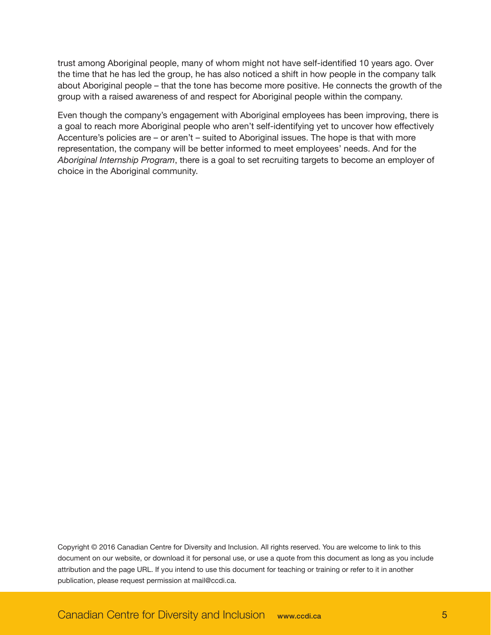trust among Aboriginal people, many of whom might not have self-identified 10 years ago. Over the time that he has led the group, he has also noticed a shift in how people in the company talk about Aboriginal people – that the tone has become more positive. He connects the growth of the group with a raised awareness of and respect for Aboriginal people within the company.

Even though the company's engagement with Aboriginal employees has been improving, there is a goal to reach more Aboriginal people who aren't self-identifying yet to uncover how effectively Accenture's policies are – or aren't – suited to Aboriginal issues. The hope is that with more representation, the company will be better informed to meet employees' needs. And for the *Aboriginal Internship Program*, there is a goal to set recruiting targets to become an employer of choice in the Aboriginal community.

Copyright © 2016 Canadian Centre for Diversity and Inclusion. All rights reserved. You are welcome to link to this document on our website, or download it for personal use, or use a quote from this document as long as you include attribution and the page URL. If you intend to use this document for teaching or training or refer to it in another publication, please request permission at mail@ccdi.ca.